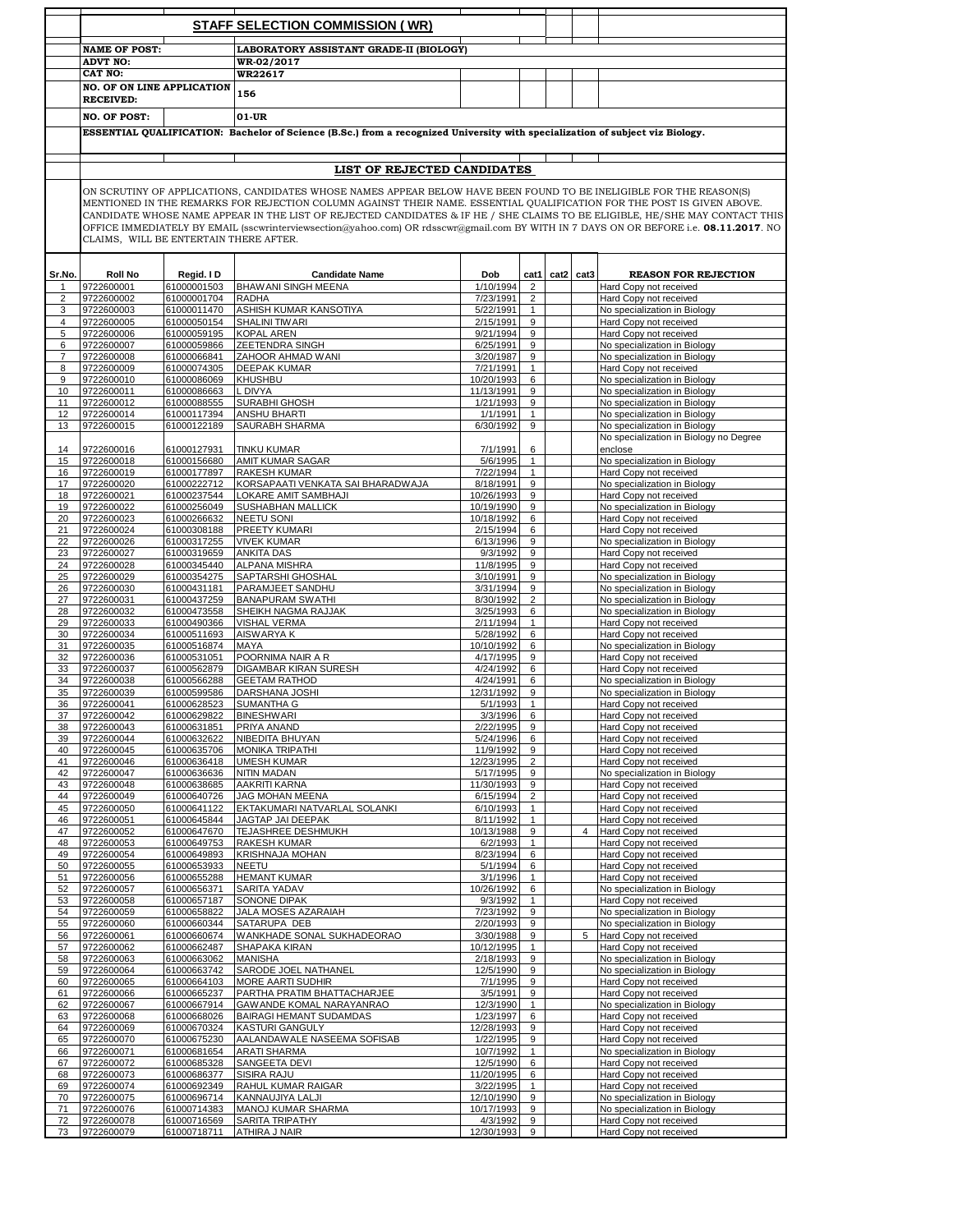|                     | <b>STAFF SELECTION COMMISSION (WR)</b>       |                                        |                                                                                                                                                                                                                                                                                                                                                                                                |                         |                                  |  |                |                                                              |  |
|---------------------|----------------------------------------------|----------------------------------------|------------------------------------------------------------------------------------------------------------------------------------------------------------------------------------------------------------------------------------------------------------------------------------------------------------------------------------------------------------------------------------------------|-------------------------|----------------------------------|--|----------------|--------------------------------------------------------------|--|
|                     | <b>NAME OF POST:</b>                         |                                        | LABORATORY ASSISTANT GRADE-II (BIOLOGY)                                                                                                                                                                                                                                                                                                                                                        |                         |                                  |  |                |                                                              |  |
|                     | <b>ADVT NO:</b>                              |                                        | WR-02/2017                                                                                                                                                                                                                                                                                                                                                                                     |                         |                                  |  |                |                                                              |  |
|                     | CAT NO:<br><b>NO. OF ON LINE APPLICATION</b> |                                        | WR22617                                                                                                                                                                                                                                                                                                                                                                                        |                         |                                  |  |                |                                                              |  |
|                     | <b>RECEIVED:</b>                             |                                        | 156                                                                                                                                                                                                                                                                                                                                                                                            |                         |                                  |  |                |                                                              |  |
|                     | <b>NO. OF POST:</b>                          |                                        | 01-UR                                                                                                                                                                                                                                                                                                                                                                                          |                         |                                  |  |                |                                                              |  |
|                     |                                              |                                        | ESSENTIAL QUALIFICATION: Bachelor of Science (B.Sc.) from a recognized University with specialization of subject viz Biology.                                                                                                                                                                                                                                                                  |                         |                                  |  |                |                                                              |  |
|                     |                                              |                                        |                                                                                                                                                                                                                                                                                                                                                                                                |                         |                                  |  |                |                                                              |  |
|                     |                                              |                                        | LIST OF REJECTED CANDIDATES                                                                                                                                                                                                                                                                                                                                                                    |                         |                                  |  |                |                                                              |  |
|                     |                                              |                                        | ON SCRUTINY OF APPLICATIONS, CANDIDATES WHOSE NAMES APPEAR BELOW HAVE BEEN FOUND TO BE INELIGIBLE FOR THE REASON(S)                                                                                                                                                                                                                                                                            |                         |                                  |  |                |                                                              |  |
|                     |                                              |                                        | MENTIONED IN THE REMARKS FOR REJECTION COLUMN AGAINST THEIR NAME. ESSENTIAL QUALIFICATION FOR THE POST IS GIVEN ABOVE.<br>CANDIDATE WHOSE NAME APPEAR IN THE LIST OF REJECTED CANDIDATES & IF HE / SHE CLAIMS TO BE ELIGIBLE, HE/SHE MAY CONTACT THIS<br>OFFICE IMMEDIATELY BY EMAIL (sscwrinterviewsection@yahoo.com) OR rdsscwr@gmail.com BY WITH IN 7 DAYS ON OR BEFORE i.e. 08.11.2017. NO |                         |                                  |  |                |                                                              |  |
|                     |                                              | CLAIMS, WILL BE ENTERTAIN THERE AFTER. |                                                                                                                                                                                                                                                                                                                                                                                                |                         |                                  |  |                |                                                              |  |
| Sr.No.              | <b>Roll No</b>                               | Regid. I D                             | <b>Candidate Name</b>                                                                                                                                                                                                                                                                                                                                                                          | Dob                     | cat1                             |  | cat2 cat3      | <b>REASON FOR REJECTION</b>                                  |  |
| 1<br>$\overline{2}$ | 9722600001<br>9722600002                     | 61000001503<br>61000001704             | <b>BHAWANI SINGH MEENA</b><br><b>RADHA</b>                                                                                                                                                                                                                                                                                                                                                     | 1/10/1994<br>7/23/1991  | $\overline{2}$<br>$\overline{2}$ |  |                | Hard Copy not received<br>Hard Copy not received             |  |
| 3                   | 9722600003                                   | 61000011470                            | ASHISH KUMAR KANSOTIYA                                                                                                                                                                                                                                                                                                                                                                         | 5/22/1991               | $\mathbf{1}$                     |  |                | No specialization in Biology                                 |  |
| $\overline{4}$      | 9722600005                                   | 61000050154                            | <b>SHALINI TIWARI</b>                                                                                                                                                                                                                                                                                                                                                                          | 2/15/1991               | 9                                |  |                | Hard Copy not received                                       |  |
| 5                   | 9722600006                                   | 61000059195                            | <b>KOPAL AREN</b>                                                                                                                                                                                                                                                                                                                                                                              | 9/21/1994               | 9                                |  |                | Hard Copy not received                                       |  |
| 6<br>$\overline{7}$ | 9722600007<br>9722600008                     | 61000059866<br>61000066841             | ZEETENDRA SINGH<br>ZAHOOR AHMAD WANI                                                                                                                                                                                                                                                                                                                                                           | 6/25/1991<br>3/20/1987  | 9<br>9                           |  |                | No specialization in Biology<br>No specialization in Biology |  |
| 8                   | 9722600009                                   | 61000074305                            | <b>DEEPAK KUMAR</b>                                                                                                                                                                                                                                                                                                                                                                            | 7/21/1991               | $\mathbf{1}$                     |  |                | Hard Copy not received                                       |  |
| 9                   | 9722600010                                   | 61000086069                            | KHUSHBU                                                                                                                                                                                                                                                                                                                                                                                        | 10/20/1993              | 6                                |  |                | No specialization in Biology                                 |  |
| 10                  | 9722600011                                   | 61000086663                            | L DIVYA                                                                                                                                                                                                                                                                                                                                                                                        | 11/13/1991              | 9                                |  |                | No specialization in Biology                                 |  |
| 11                  | 9722600012                                   | 61000088555                            | SURABHI GHOSH                                                                                                                                                                                                                                                                                                                                                                                  | 1/21/1993               | 9                                |  |                | No specialization in Biology                                 |  |
| 12<br>13            | 9722600014<br>9722600015                     | 61000117394<br>61000122189             | ANSHU BHARTI<br><b>SAURABH SHARMA</b>                                                                                                                                                                                                                                                                                                                                                          | 1/1/1991<br>6/30/1992   | $\mathbf{1}$<br>9                |  |                | No specialization in Biology<br>No specialization in Biology |  |
|                     |                                              |                                        |                                                                                                                                                                                                                                                                                                                                                                                                |                         |                                  |  |                | No specialization in Biology no Degree                       |  |
| 14                  | 9722600016                                   | 61000127931                            | TINKU KUMAR                                                                                                                                                                                                                                                                                                                                                                                    | 7/1/1991                | 6                                |  |                | enclose                                                      |  |
| 15                  | 9722600018                                   | 61000156680                            | AMIT KUMAR SAGAR                                                                                                                                                                                                                                                                                                                                                                               | 5/6/1995                | $\mathbf{1}$                     |  |                | No specialization in Biology                                 |  |
| 16                  | 9722600019                                   | 61000177897                            | <b>RAKESH KUMAR</b>                                                                                                                                                                                                                                                                                                                                                                            | 7/22/1994               | $\mathbf{1}$                     |  |                | Hard Copy not received                                       |  |
| 17<br>18            | 9722600020<br>9722600021                     | 61000222712<br>61000237544             | KORSAPAATI VENKATA SAI BHARADWAJA<br>LOKARE AMIT SAMBHAJI                                                                                                                                                                                                                                                                                                                                      | 8/18/1991<br>10/26/1993 | 9<br>9                           |  |                | No specialization in Biology<br>Hard Copy not received       |  |
| 19                  | 9722600022                                   | 61000256049                            | SUSHABHAN MALLICK                                                                                                                                                                                                                                                                                                                                                                              | 10/19/1990              | 9                                |  |                | No specialization in Biology                                 |  |
| 20                  | 9722600023                                   | 61000266632                            | NEETU SONI                                                                                                                                                                                                                                                                                                                                                                                     | 10/18/1992              | 6                                |  |                | Hard Copy not received                                       |  |
| 21                  | 9722600024                                   | 61000308188                            | PREETY KUMARI                                                                                                                                                                                                                                                                                                                                                                                  | 2/15/1994               | 6                                |  |                | Hard Copy not received                                       |  |
| 22                  | 9722600026                                   | 61000317255                            | <b>VIVEK KUMAR</b>                                                                                                                                                                                                                                                                                                                                                                             | 6/13/1996               | 9                                |  |                | No specialization in Biology                                 |  |
| 23                  | 9722600027<br>9722600028                     | 61000319659<br>61000345440             | <b>ANKITA DAS</b><br><b>ALPANA MISHRA</b>                                                                                                                                                                                                                                                                                                                                                      | 9/3/1992<br>11/8/1995   | 9<br>9                           |  |                | Hard Copy not received<br>Hard Copy not received             |  |
| 24<br>25            | 9722600029                                   | 61000354275                            | SAPTARSHI GHOSHAL                                                                                                                                                                                                                                                                                                                                                                              | 3/10/1991               | 9                                |  |                | No specialization in Biology                                 |  |
| 26                  | 9722600030                                   | 61000431181                            | PARAMJEET SANDHU                                                                                                                                                                                                                                                                                                                                                                               | 3/31/1994               | 9                                |  |                | No specialization in Biology                                 |  |
| 27                  | 9722600031                                   | 61000437259                            | <b>BANAPURAM SWATHI</b>                                                                                                                                                                                                                                                                                                                                                                        | 8/30/1992               | $\overline{2}$                   |  |                | No specialization in Biology                                 |  |
| 28                  | 9722600032                                   | 61000473558                            | SHEIKH NAGMA RAJJAK                                                                                                                                                                                                                                                                                                                                                                            | 3/25/1993               | 6                                |  |                | No specialization in Biology                                 |  |
| 29<br>30            | 9722600033<br>9722600034                     | 61000490366<br>61000511693             | <b>VISHAL VERMA</b><br>AISWARYA K                                                                                                                                                                                                                                                                                                                                                              | 2/11/1994<br>5/28/1992  | $\mathbf{1}$<br>6                |  |                | Hard Copy not received<br>Hard Copy not received             |  |
| 31                  | 9722600035                                   | 61000516874                            | MAYA                                                                                                                                                                                                                                                                                                                                                                                           | 10/10/1992              | 6                                |  |                | No specialization in Biology                                 |  |
| 32                  | 9722600036                                   | 61000531051                            | POORNIMA NAIR A R                                                                                                                                                                                                                                                                                                                                                                              | 4/17/1995               | 9                                |  |                | Hard Copy not received                                       |  |
| 33                  | 9722600037                                   | 61000562879                            | DIGAMBAR KIRAN SURESH                                                                                                                                                                                                                                                                                                                                                                          | 4/24/1992               | 6                                |  |                | Hard Copy not received                                       |  |
| 34                  | 9722600038                                   | 61000566288                            | <b>GEETAM RATHOD</b><br>DARSHANA JOSHI                                                                                                                                                                                                                                                                                                                                                         | 4/24/1991               | 6<br>9                           |  |                | No specialization in Biology                                 |  |
| 35<br>36            | 9722600039<br>9722600041                     | 61000599586<br>61000628523             | SUMANTHA G                                                                                                                                                                                                                                                                                                                                                                                     | 12/31/1992<br>5/1/1993  | $\mathbf{1}$                     |  |                | No specialization in Biology<br>Hard Copy not received       |  |
| 37                  | 9722600042                                   | 61000629822                            | <b>BINESHWARI</b>                                                                                                                                                                                                                                                                                                                                                                              | 3/3/1996                | 6                                |  |                | Hard Copy not received                                       |  |
| 38                  | 9722600043                                   | 61000631851                            | PRIYA ANAND                                                                                                                                                                                                                                                                                                                                                                                    | 2/22/1995               | 9                                |  |                | Hard Copy not received                                       |  |
| 39                  | 9722600044                                   | 61000632622                            | NIBEDITA BHUYAN                                                                                                                                                                                                                                                                                                                                                                                | 5/24/1996               | 6                                |  |                | Hard Copy not received                                       |  |
| 40<br>41            | 9722600045<br>9722600046                     | 61000635706<br>61000636418             | MONIKA TRIPATHI<br><b>UMESH KUMAR</b>                                                                                                                                                                                                                                                                                                                                                          | 11/9/1992<br>12/23/1995 | 9<br>$\overline{2}$              |  |                | Hard Copy not received<br>Hard Copy not received             |  |
| 42                  | 9722600047                                   | 61000636636                            | <b>NITIN MADAN</b>                                                                                                                                                                                                                                                                                                                                                                             | 5/17/1995               | 9                                |  |                | No specialization in Biology                                 |  |
| 43                  | 9722600048                                   | 61000638685                            | AAKRITI KARNA                                                                                                                                                                                                                                                                                                                                                                                  | 11/30/1993              | 9                                |  |                | Hard Copy not received                                       |  |
| 44                  | 9722600049                                   | 61000640726                            | JAG MOHAN MEENA                                                                                                                                                                                                                                                                                                                                                                                | 6/15/1994               | $\overline{2}$                   |  |                | Hard Copy not received                                       |  |
| 45<br>46            | 9722600050<br>9722600051                     | 61000641122<br>61000645844             | EKTAKUMARI NATVARLAL SOLANKI<br>JAGTAP JAI DEEPAK                                                                                                                                                                                                                                                                                                                                              | 6/10/1993<br>8/11/1992  | $\mathbf{1}$<br>$\mathbf{1}$     |  |                | Hard Copy not received<br>Hard Copy not received             |  |
| 47                  | 9722600052                                   | 61000647670                            | TEJASHREE DESHMUKH                                                                                                                                                                                                                                                                                                                                                                             | 10/13/1988              | 9                                |  | $\overline{4}$ | Hard Copy not received                                       |  |
| 48                  | 9722600053                                   | 61000649753                            | <b>RAKESH KUMAR</b>                                                                                                                                                                                                                                                                                                                                                                            | 6/2/1993                | $\mathbf{1}$                     |  |                | Hard Copy not received                                       |  |
| 49                  | 9722600054                                   | 61000649893                            | KRISHNAJA MOHAN                                                                                                                                                                                                                                                                                                                                                                                | 8/23/1994               | 6                                |  |                | Hard Copy not received                                       |  |
| 50                  | 9722600055                                   | 61000653933                            | <b>NEETU</b>                                                                                                                                                                                                                                                                                                                                                                                   | 5/1/1994                | 6                                |  |                | Hard Copy not received                                       |  |
| 51<br>52            | 9722600056<br>9722600057                     | 61000655288<br>61000656371             | <b>HEMANT KUMAR</b><br>SARITA YADAV                                                                                                                                                                                                                                                                                                                                                            | 3/1/1996<br>10/26/1992  | $\mathbf{1}$<br>6                |  |                | Hard Copy not received<br>No specialization in Biology       |  |
| 53                  | 9722600058                                   | 61000657187                            | SONONE DIPAK                                                                                                                                                                                                                                                                                                                                                                                   | 9/3/1992                | $\mathbf{1}$                     |  |                | Hard Copy not received                                       |  |
| 54                  | 9722600059                                   | 61000658822                            | JALA MOSES AZARAIAH                                                                                                                                                                                                                                                                                                                                                                            | 7/23/1992               | 9                                |  |                | No specialization in Biology                                 |  |
| 55                  | 9722600060                                   | 61000660344                            | SATARUPA DEB                                                                                                                                                                                                                                                                                                                                                                                   | 2/20/1993               | 9                                |  |                | No specialization in Biology                                 |  |
| 56<br>57            | 9722600061<br>9722600062                     | 61000660674<br>61000662487             | WANKHADE SONAL SUKHADEORAO<br>SHAPAKA KIRAN                                                                                                                                                                                                                                                                                                                                                    | 3/30/1988<br>10/12/1995 | 9<br>$\mathbf{1}$                |  | 5              | Hard Copy not received<br>Hard Copy not received             |  |
| 58                  | 9722600063                                   | 61000663062                            | <b>MANISHA</b>                                                                                                                                                                                                                                                                                                                                                                                 | 2/18/1993               | 9                                |  |                | No specialization in Biology                                 |  |
| 59                  | 9722600064                                   | 61000663742                            | SARODE JOEL NATHANEL                                                                                                                                                                                                                                                                                                                                                                           | 12/5/1990               | 9                                |  |                | No specialization in Biology                                 |  |
| 60                  | 9722600065                                   | 61000664103                            | MORE AARTI SUDHIR                                                                                                                                                                                                                                                                                                                                                                              | 7/1/1995                | 9                                |  |                | Hard Copy not received                                       |  |
| 61                  | 9722600066                                   | 61000665237                            | PARTHA PRATIM BHATTACHARJEE                                                                                                                                                                                                                                                                                                                                                                    | 3/5/1991                | 9                                |  |                | Hard Copy not received                                       |  |
| 62<br>63            | 9722600067<br>9722600068                     | 61000667914<br>61000668026             | GAWANDE KOMAL NARAYANRAO<br>BAIRAGI HEMANT SUDAMDAS                                                                                                                                                                                                                                                                                                                                            | 12/3/1990<br>1/23/1997  | $\mathbf{1}$<br>6                |  |                | No specialization in Biology<br>Hard Copy not received       |  |
| 64                  | 9722600069                                   | 61000670324                            | KASTURI GANGULY                                                                                                                                                                                                                                                                                                                                                                                | 12/28/1993              | 9                                |  |                | Hard Copy not received                                       |  |
| 65                  | 9722600070                                   | 61000675230                            | AALANDAWALE NASEEMA SOFISAB                                                                                                                                                                                                                                                                                                                                                                    | 1/22/1995               | 9                                |  |                | Hard Copy not received                                       |  |
| 66                  | 9722600071                                   | 61000681654                            | <b>ARATI SHARMA</b>                                                                                                                                                                                                                                                                                                                                                                            | 10/7/1992               | $\mathbf{1}$                     |  |                | No specialization in Biology                                 |  |
| 67                  | 9722600072                                   | 61000685328                            | SANGEETA DEVI                                                                                                                                                                                                                                                                                                                                                                                  | 12/5/1990               | 6                                |  |                | Hard Copy not received                                       |  |
| 68                  | 9722600073                                   | 61000686377                            | SISIRA RAJU                                                                                                                                                                                                                                                                                                                                                                                    | 11/20/1995              | 6                                |  |                | Hard Copy not received                                       |  |
| 69<br>70            | 9722600074<br>9722600075                     | 61000692349<br>61000696714             | RAHUL KUMAR RAIGAR<br>KANNAUJIYA LALJI                                                                                                                                                                                                                                                                                                                                                         | 3/22/1995<br>12/10/1990 | $\mathbf{1}$<br>9                |  |                | Hard Copy not received<br>No specialization in Biology       |  |
| 71                  | 9722600076                                   | 61000714383                            | MANOJ KUMAR SHARMA                                                                                                                                                                                                                                                                                                                                                                             | 10/17/1993              | 9                                |  |                | No specialization in Biology                                 |  |
| 72                  | 9722600078                                   | 61000716569                            | SARITA TRIPATHY                                                                                                                                                                                                                                                                                                                                                                                | 4/3/1992                | 9                                |  |                | Hard Copy not received                                       |  |
| 73                  | 9722600079                                   | 61000718711                            | ATHIRA J NAIR                                                                                                                                                                                                                                                                                                                                                                                  | 12/30/1993              | 9                                |  |                | Hard Copy not received                                       |  |